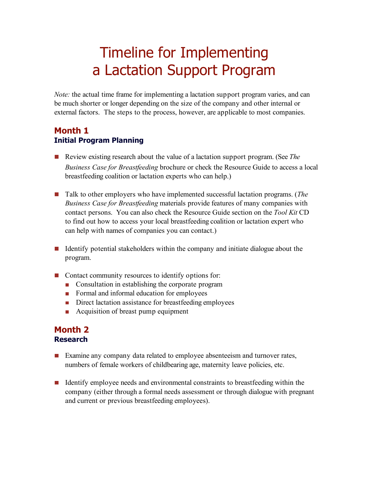# Timeline for Implementing a Lactation Support Program

*Note:* the actual time frame for implementing a lactation support program varies, and can be much shorter or longer depending on the size of the company and other internal or external factors. The steps to the process, however, are applicable to most companies.

## **Month 1 Initial Program Planning**

- Review existing research about the value of a lactation support program. (See *The Business Case for Breastfeeding* brochure or check the Resource Guide to access a local breastfeeding coalition or lactation experts who can help.)
- Talk to other employers who have implemented successful lactation programs. (*The Business Case for Breastfeeding* materials provide features of many companies with contact persons. You can also check the Resource Guide section on the *Tool Kit* CD to find out how to access your local breastfeeding coalition or lactation expert who can help with names of companies you can contact.)
- I dentify potential stakeholders within the company and initiate dialogue about the program.
- Contact community resources to identify options for:
	- **Consultation in establishing the corporate program**
	- Formal and informal education for employees
	- Direct lactation assistance for breastfeeding employees
	- Acquisition of breast pump equipment

#### **Month 2 Research**

- **Examine any company data related to employee absenteeism and turnover rates,** numbers of female workers of childbearing age, maternity leave policies, etc.
- I dentify employee needs and environmental constraints to breastfeeding within the company (either through a formal needs assessment or through dialogue with pregnant and current or previous breastfeeding employees).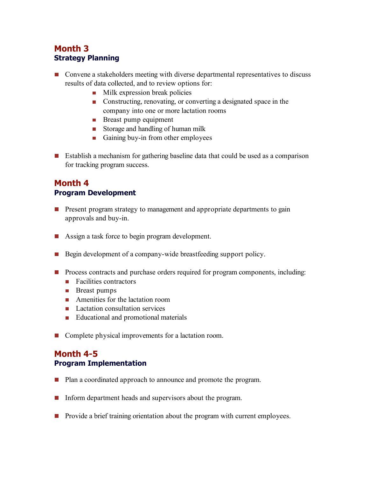# **Month 3 Strategy Planning**

- **OCONVERGO** CONVERGED CONVERGENCE IS CONVERGENCE TO A SERVICE SUPPORTED CONVERGENCE IS CONVERGENTED **CONVERGENT** results of data collected, and to review options for:
	- $\blacksquare$  Milk expression break policies
	- Constructing, renovating, or converting a designated space in the company into one or more lactation rooms
	- **Breast pump equipment**
	- Storage and handling of human milk
	- Gaining buy-in from other employees
- Establish a mechanism for gathering baseline data that could be used as a comparison for tracking program success.

# **Month 4 Program Development**

- **Present program strategy to management and appropriate departments to gain** approvals and buy-in.
- Assign a task force to begin program development.
- Begin development of a company-wide breastfeeding support policy.
- **Process contracts and purchase orders required for program components, including:** 
	- $\blacksquare$  Facilities contractors
	- **Breast pumps**
	- **Amenities for the lactation room**
	- Lactation consultation services
	- Educational and promotional materials
- Complete physical improvements for a lactation room.

## **Month 4-5 Program Implementation**

- **Plan a coordinated approach to announce and promote the program.**
- Inform department heads and supervisors about the program.
- **Provide a brief training orientation about the program with current employees.**